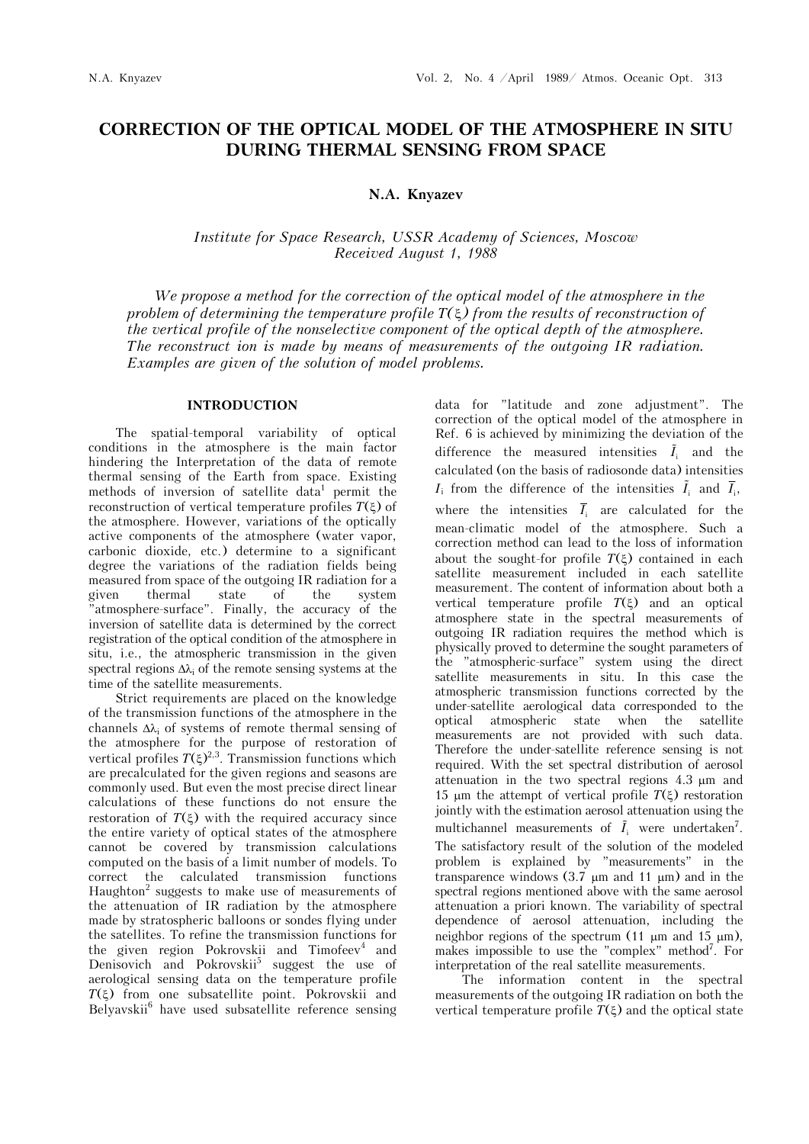# **CORRECTION OF THE OPTICAL MODEL OF THE ATMOSPHERE IN SITU DURING THERMAL SENSING FROM SPACE**

## **N.A. Knyazev**

## *Institute for Space Research, USSR Academy of Sciences, Moscow Received August 1, 1988*

*We propose a method for the correction of the optical model of the atmosphere in the problem of determining the temperature profile T() from the results of reconstruction of the vertical profile of the nonselective component of the optical depth of the atmosphere. The reconstruct ion is made by means of measurements of the outgoing IR radiation. Examples are given of the solution of model problems.*

#### **INTRODUCTION**

The spatial-temporal variability of optical conditions in the atmosphere is the main factor hindering the Interpretation of the data of remote thermal sensing of the Earth from space. Existing methods of inversion of satellite data<sup>1</sup> permit the reconstruction of vertical temperature profiles  $T(\xi)$  of the atmosphere. However, variations of the optically active components of the atmosphere (water vapor, carbonic dioxide, etc.) determine to a significant degree the variations of the radiation fields being measured from space of the outgoing IR radiation for a given thermal state of the system "atmosphere-surface". Finally, the accuracy of the inversion of satellite data is determined by the correct registration of the optical condition of the atmosphere in situ, i.e., the atmospheric transmission in the given spectral regions  $\Delta\lambda_i$  of the remote sensing systems at the time of the satellite measurements.

Strict requirements are placed on the knowledge of the transmission functions of the atmosphere in the channels  $\Delta \lambda_i$  of systems of remote thermal sensing of the atmosphere for the purpose of restoration of vertical profiles  $T(\xi)^{2,3}$ . Transmission functions which are precalculated for the given regions and seasons are commonly used. But even the most precise direct linear calculations of these functions do not ensure the restoration of  $T(\xi)$  with the required accuracy since the entire variety of optical states of the atmosphere cannot be covered by transmission calculations computed on the basis of a limit number of models. To correct the calculated transmission functions Haughton<sup>2</sup> suggests to make use of measurements of the attenuation of IR radiation by the atmosphere made by stratospheric balloons or sondes flying under the satellites. To refine the transmission functions for the given region Pokrovskii and Timofeev<sup>4</sup> and Denisovich and Pokrovskii<sup>5</sup> suggest the use of aerological sensing data on the temperature profile  $T(\xi)$  from one subsatellite point. Pokrovskii and Belyavskii<sup>6</sup> have used subsatellite reference sensing data for "latitude and zone adjustment". The correction of the optical model of the atmosphere in Ref. 6 is achieved by minimizing the deviation of the difference the measured intensities  $\tilde{I}_i$  and the calculated (on the basis of radiosonde data) intensities  $I_i$  from the difference of the intensities  $\tilde{I}_i$  and  $\overline{I}_i$ , where the intensities  $\overline{I}_i$  are calculated for the mean-climatic model of the atmosphere. Such a correction method can lead to the loss of information about the sought-for profile  $T(\xi)$  contained in each satellite measurement included in each satellite measurement. The content of information about both a vertical temperature profile  $T(\xi)$  and an optical atmosphere state in the spectral measurements of outgoing IR radiation requires the method which is physically proved to determine the sought parameters of the "atmospheric-surface" system using the direct satellite measurements in situ. In this case the atmospheric transmission functions corrected by the under-satellite aerological data corresponded to the optical atmospheric state when the satellite measurements are not provided with such data. Therefore the under-satellite reference sensing is not required. With the set spectral distribution of aerosol attenuation in the two spectral regions  $4.3 \mu m$  and 15  $\mu$ m the attempt of vertical profile  $T(\xi)$  restoration jointly with the estimation aerosol attenuation using the multichannel measurements of  $\tilde{I}_i$  were undertaken<sup>7</sup>. The satisfactory result of the solution of the modeled problem is explained by "measurements" in the transparence windows  $(3.7 \mu m)$  and 11  $\mu$ m) and in the spectral regions mentioned above with the same aerosol attenuation a priori known. The variability of spectral dependence of aerosol attenuation, including the neighbor regions of the spectrum  $(11 \mu m$  and  $15 \mu m)$ , makes impossible to use the "complex" method<sup>7</sup>. For interpretation of the real satellite measurements.

The information content in the spectral measurements of the outgoing IR radiation on both the vertical temperature profile  $T(\xi)$  and the optical state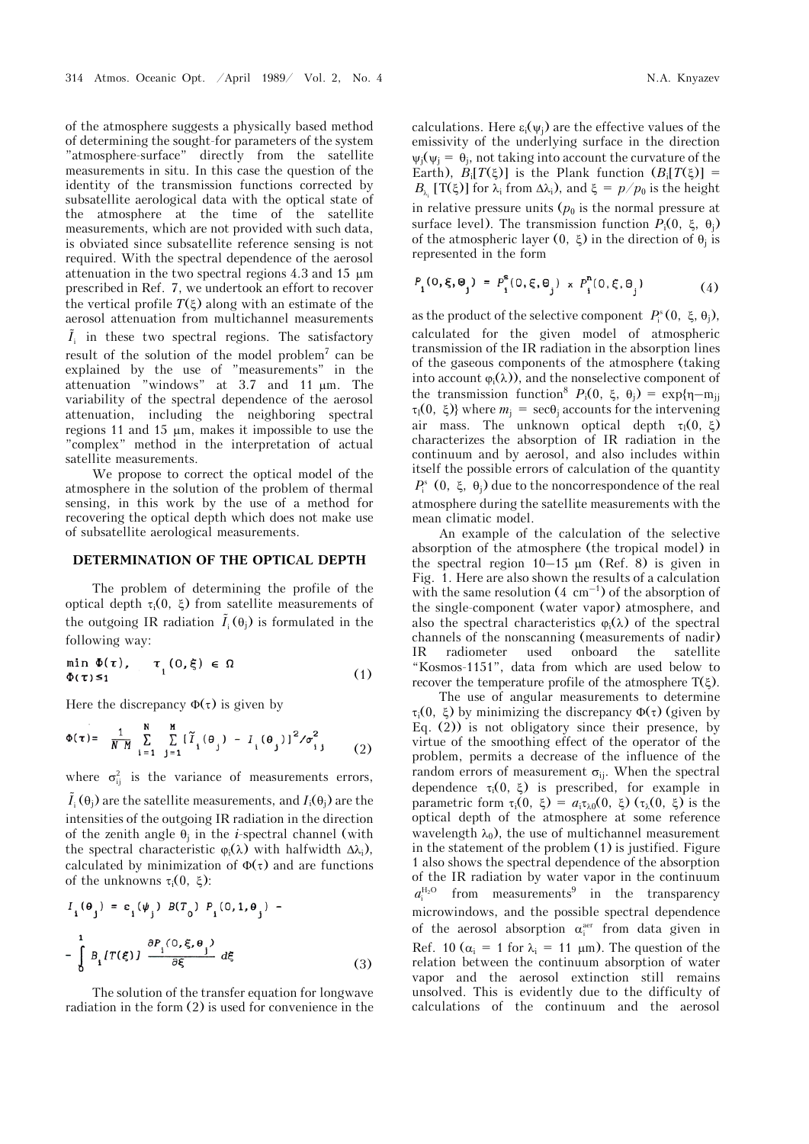of the atmosphere suggests a physically based method of determining the sought-for parameters of the system "atmosphere-surface" directly from the satellite measurements in situ. In this case the question of the identity of the transmission functions corrected by subsatellite aerological data with the optical state of the atmosphere at the time of the satellite measurements, which are not provided with such data, is obviated since subsatellite reference sensing is not required. With the spectral dependence of the aerosol attenuation in the two spectral regions 4.3 and 15 m prescribed in Ref. 7, we undertook an effort to recover the vertical profile  $T(\xi)$  along with an estimate of the aerosol attenuation from multichannel measurements  $\tilde{I}_i$  in these two spectral regions. The satisfactory result of the solution of the model problem<sup>7</sup> can be explained by the use of "measurements" in the attenuation "windows" at 3.7 and 11 m. The variability of the spectral dependence of the aerosol attenuation, including the neighboring spectral regions 11 and 15  $\mu$ m, makes it impossible to use the "complex" method in the interpretation of actual satellite measurements.

We propose to correct the optical model of the atmosphere in the solution of the problem of thermal sensing, in this work by the use of a method for recovering the optical depth which does not make use of subsatellite aerological measurements.

## **DETERMINATION OF THE OPTICAL DEPTH**

The problem of determining the profile of the optical depth  $\tau_i(0, \xi)$  from satellite measurements of the outgoing IR radiation  $\tilde{I}_i(\theta_j)$  is formulated in the following way:

$$
\min_{\Phi(\tau)\leq 1} \Phi(\tau), \quad \tau_{i} (0,\xi) \in \Omega \tag{1}
$$

Here the discrepancy  $\Phi(\tau)$  is given by

$$
\Phi(\tau) = \frac{1}{NM} \sum_{i=1}^{N} \sum_{j=1}^{M} [\tilde{I}_i(\theta_j) - I_i(\theta_j)]^2 / \sigma_{ij}^2
$$
 (2)

where  $\sigma_{ii}^2$  is the variance of measurements errors,

 $\tilde{I}_i^{}(\theta_j^{})$  are the satellite measurements, and  $I_i^{}(\theta_j^{})$  are the intensities of the outgoing IR radiation in the direction of the zenith angle  $\theta_i$  in the *i*-spectral channel (with the spectral characteristic  $\varphi_i(\lambda)$  with halfwidth  $\Delta \lambda_i$ ), calculated by minimization of  $\Phi(\tau)$  and are functions of the unknowns  $\tau_i(0, \xi)$ :

$$
I_{i}(\theta_{j}) = \varepsilon_{i}(\psi_{j}) B(T_{0}) P_{i}(0, 1, \theta_{j}) -
$$
  

$$
-\int_{0}^{1} B_{i} \{T(\xi)\} \frac{\partial P_{i}(0, \xi, \theta_{j})}{\partial \xi} d\xi
$$
 (3)

The solution of the transfer equation for longwave radiation in the form (2) is used for convenience in the

calculations. Here  $\varepsilon_i(\psi_i)$  are the effective values of the emissivity of the underlying surface in the direction  $\psi_i(\psi_i = \theta_i)$ , not taking into account the curvature of the Earth),  $B_i[T(\xi)]$  is the Plank function  $(B_i[T(\xi)]] =$  $B_{\lambda_i}$  [T( $\xi$ )] for  $\lambda_i$  from  $\Delta \lambda_i$ ), and  $\xi = p/p_0$  is the height in relative pressure units  $(p_0)$  is the normal pressure at surface level). The transmission function  $P_i(0, \xi, \theta_i)$ of the atmospheric layer  $(0, \xi)$  in the direction of  $\theta_i$  is represented in the form

$$
P_{i}(0, \xi, \Theta_{j}) = P_{i}^{s}(0, \xi, \Theta_{j}) \times P_{i}^{n}(0, \xi, \Theta_{j})
$$
(4)

as the product of the selective component  $P_i^s(0, \xi, \theta_i)$ , calculated for the given model of atmospheric transmission of the IR radiation in the absorption lines of the gaseous components of the atmosphere (taking into account  $\varphi_i(\lambda)$ , and the nonselective component of the transmission function<sup>8</sup>  $P_i(0, \xi, \theta_i) = \exp\{\eta - m_{ii}\}$  $\tau_1(0, \xi)$  where  $m_i = \sec\theta_i$  accounts for the intervening air mass. The unknown optical depth  $\tau_1(0, \xi)$ characterizes the absorption of IR radiation in the continuum and by aerosol, and also includes within itself the possible errors of calculation of the quantity  $P_i^s$  (0,  $\xi$ ,  $\theta_i$ ) due to the noncorrespondence of the real atmosphere during the satellite measurements with the mean climatic model.

An example of the calculation of the selective absorption of the atmosphere (the tropical model) in the spectral region  $10-15 \mu m$  (Ref. 8) is given in Fig. 1. Here are also shown the results of a calculation with the same resolution  $(4 \text{ cm}^{-1})$  of the absorption of the single-component (water vapor) atmosphere, and also the spectral characteristics  $\varphi_i(\lambda)$  of the spectral channels of the nonscanning (measurements of nadir) IR radiometer used onboard the satellite "Kosmos-1151", data from which are used below to recover the temperature profile of the atmosphere  $T(\xi)$ .

The use of angular measurements to determine  $\tau_i(0, \xi)$  by minimizing the discrepancy  $\Phi(\tau)$  (given by Eq. (2)) is not obligatory since their presence, by virtue of the smoothing effect of the operator of the problem, permits a decrease of the influence of the random errors of measurement  $\sigma_{ii}$ . When the spectral dependence  $\tau_i(0, \xi)$  is prescribed, for example in parametric form  $\tau_i(0, \xi) = a_i \tau_{\lambda 0}(0, \xi) (\tau_{\lambda}(0, \xi))$  is the optical depth of the atmosphere at some reference wavelength  $\lambda_0$ ), the use of multichannel measurement in the statement of the problem (1) is justified. Figure 1 also shows the spectral dependence of the absorption of the IR radiation by water vapor in the continuum  $a_i^{\text{H}_2\text{O}}$  from measurements<sup>9</sup> in the transparency microwindows, and the possible spectral dependence of the aerosol absorption  $\alpha_i^{a}$  from data given in Ref. 10 ( $\alpha_i = 1$  for  $\lambda_i = 11 \mu m$ ). The question of the relation between the continuum absorption of water vapor and the aerosol extinction still remains unsolved. This is evidently due to the difficulty of calculations of the continuum and the aerosol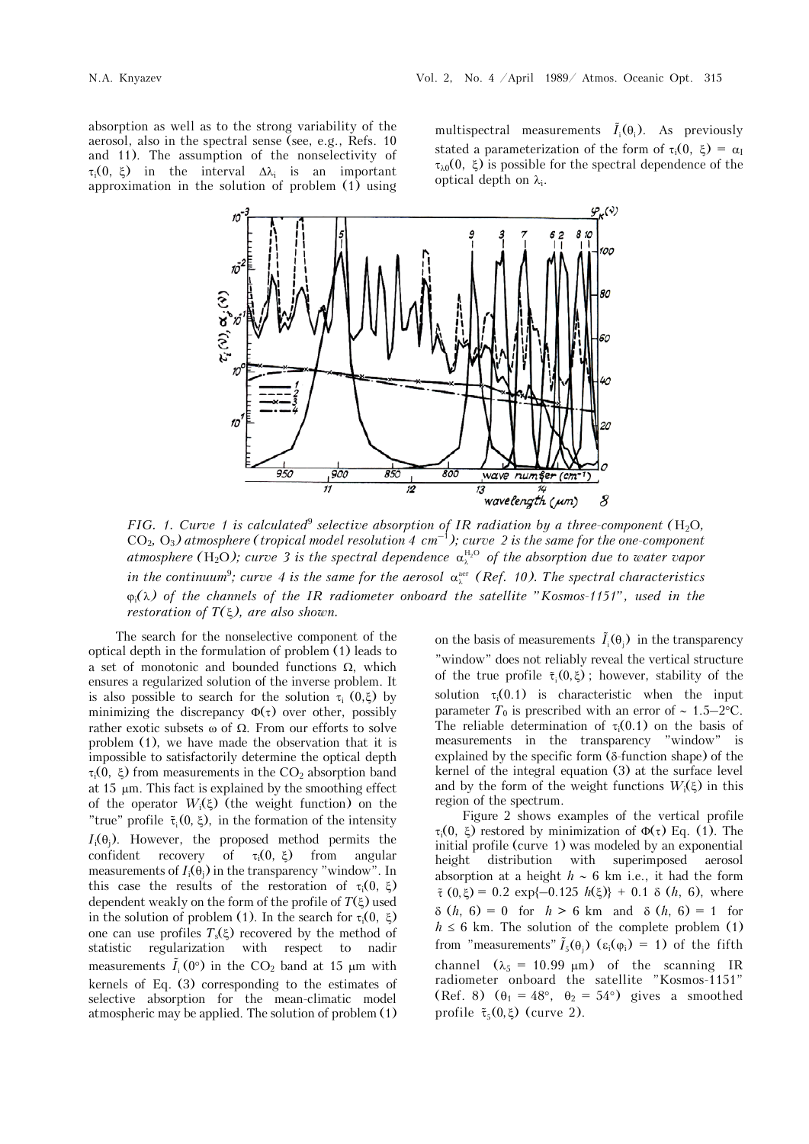absorption as well as to the strong variability of the aerosol, also in the spectral sense (see, e.g., Refs. 10 and 11). The assumption of the nonselectivity of  $\tau_i(0, \xi)$  in the interval  $\Delta \lambda_i$  is an important approximation in the solution of problem (1) using

multispectral measurements  $\tilde{I}_i(\theta_i)$ . As previously stated a parameterization of the form of  $\tau_i(0, \xi) = \alpha_I$  $\tau_{\lambda0}(0, \xi)$  is possible for the spectral dependence of the optical depth on  $\lambda_i$ .



*FIG.* 1. Curve 1 is calculated<sup>9</sup> selective absorption of IR radiation by a three-component ( $H_2O$ ,  $CO<sub>2</sub>, O<sub>3</sub>$ ) atmosphere (tropical model resolution 4 cm<sup>-1</sup>); curve 2 is the same for the one-component *atmosphere* (H<sub>2</sub>O); curve 3 is the spectral dependence  $\alpha_k^{H_2O}$  of the absorption due to water vapor *in the continuum*<sup>9</sup>; curve 4 is the same for the aerosol  $\alpha_{\lambda}^{\text{aer}}$  (Ref. 10). The spectral characteristics  $\varphi_i(\lambda)$  of the channels of the IR radiometer onboard the satellite "Kosmos-1151", used in the *restoration of T(), are also shown.*

The search for the nonselective component of the optical depth in the formulation of problem (1) leads to a set of monotonic and bounded functions  $\Omega$ , which ensures a regularized solution of the inverse problem. It is also possible to search for the solution  $\tau_i$  (0, $\xi$ ) by minimizing the discrepancy  $\Phi(\tau)$  over other, possibly rather exotic subsets  $\omega$  of  $\Omega$ . From our efforts to solve problem (1), we have made the observation that it is impossible to satisfactorily determine the optical depth  $\tau_i(0, \xi)$  from measurements in the CO<sub>2</sub> absorption band at  $15 \mu m$ . This fact is explained by the smoothing effect of the operator  $W_i(\xi)$  (the weight function) on the "true" profile  $\tilde{\tau}_i(0, \xi)$ , in the formation of the intensity  $I_i(\theta_i)$ . However, the proposed method permits the confident recovery of  $\tau_i(0, \xi)$  from angular measurements of  $I_i(\theta_i)$  in the transparency "window". In this case the results of the restoration of  $\tau_i(0, \xi)$ dependent weakly on the form of the profile of  $T(\xi)$  used in the solution of problem (1). In the search for  $\tau_i(0, \xi)$ one can use profiles  $T_s(\xi)$  recovered by the method of statistic regularization with respect to nadir measurements  $\tilde{I}_i(0^{\circ})$  in the CO<sub>2</sub> band at 15  $\mu$ m with kernels of Eq. (3) corresponding to the estimates of selective absorption for the mean-climatic model atmospheric may be applied. The solution of problem (1)

on the basis of measurements  $\tilde{I}_i(\theta_i)$  in the transparency "window" does not reliably reveal the vertical structure of the true profile  $\tilde{\tau}_i(0,\xi)$ ; however, stability of the solution  $\tau_i(0.1)$  is characteristic when the input parameter  $T_0$  is prescribed with an error of  $\sim 1.5-2$ °C. The reliable determination of  $\tau_i(0.1)$  on the basis of measurements in the transparency "window" is measurements in the transparency "window" is explained by the specific form  $(\delta$ -function shape) of the kernel of the integral equation (3) at the surface level and by the form of the weight functions  $W_i(\xi)$  in this region of the spectrum.

Figure 2 shows examples of the vertical profile  $\tau_i(0, \xi)$  restored by minimization of  $\Phi(\tau)$  Eq. (1). The initial profile (curve 1) was modeled by an exponential height distribution with superimposed aerosol absorption at a height  $h \sim 6$  km i.e., it had the form  $\tilde{\tau}(0, \xi) = 0.2 \exp\{-0.125 h(\xi)\} + 0.1 \delta(h, 6), \text{ where}$  $\delta(h, 6) = 0$  for  $h > 6$  km and  $\delta(h, 6) = 1$  for  $h \leq 6$  km. The solution of the complete problem (1) from "measurements"  $\tilde{I}_5(\theta_1)$  ( $\varepsilon_i(\phi_i) = 1$ ) of the fifth channel  $(\lambda_5 = 10.99 \text{ }\mu\text{m})$  of the scanning IR radiometer onboard the satellite "Kosmos-1151" (Ref. 8)  $(\theta_1 = 48^\circ, \ \theta_2 = 54^\circ)$  gives a smoothed profile  $\tilde{\tau}_5(0,\xi)$  (curve 2).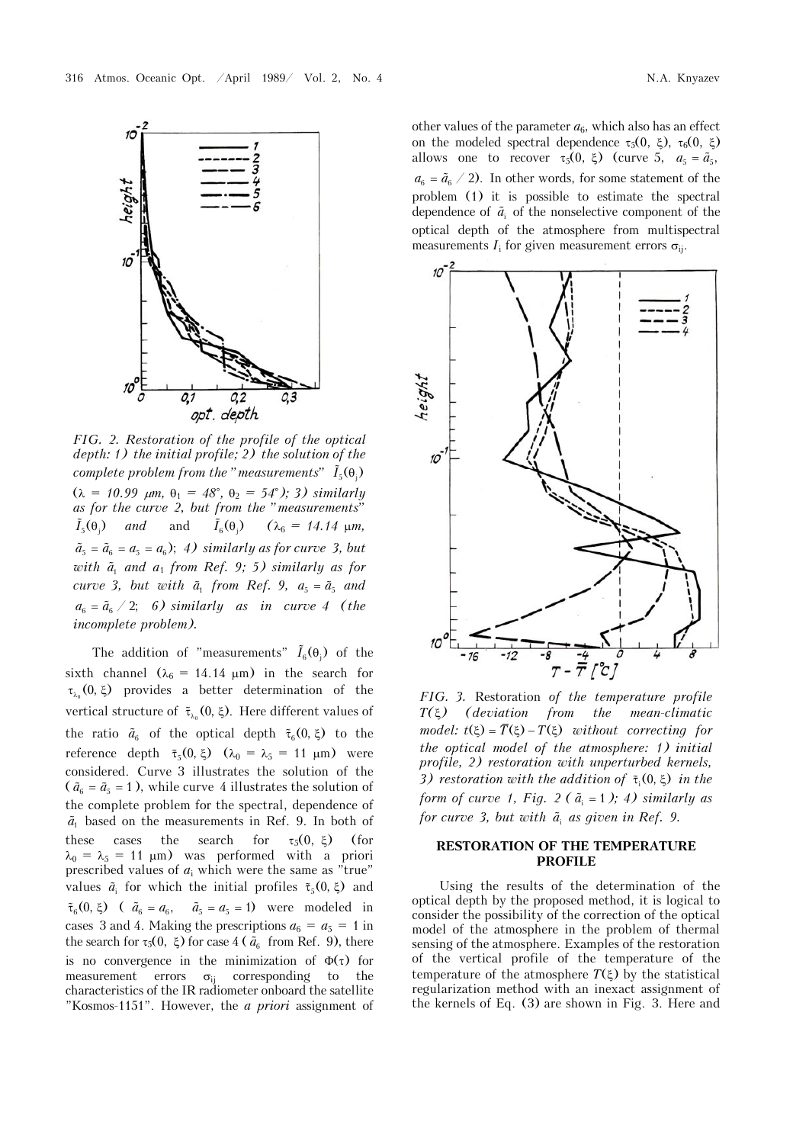

*FIG. 2. Restoration of the profile of the optical depth: 1) the initial profile; 2) the solution of the complete problem from the "measurements"*  $\tilde{I}_5(\theta)$  $(\lambda = 10.99 \mu m, \theta_1 = 48^\circ, \theta_2 = 54^\circ);$  3) similarly *as for the curve 2, but from the "measurements"*   $\tilde{I}_5(\theta_i)$  and and  $\tilde{I}_6(\theta_i)$   $(\lambda_6 = 14.14 \text{ }\mu\text{m},$  $\tilde{a}_5 = \tilde{a}_6 = a_5 = a_6$ ; 4) *similarly as for curve 3, but with a*<sup>1</sup>  *and a*1 *from Ref. 9; 5) similarly as for curve* 3, but with  $\tilde{a}_1$  from Ref. 9,  $a_5 = \tilde{a}_5$  and  $a_6 = \tilde{a}_6 / 2$ ; 6) *similarly as in curve 4 (the incomplete problem).*

The addition of "measurements"  $\tilde{I}_6(\theta_i)$  of the sixth channel ( $\lambda_6 = 14.14 \text{ }\mu\text{m}$ ) in the search for  $\tau_{\lambda}$  (0,  $\xi$ ) provides a better determination of the vertical structure of  $\tilde{\tau}_{\lambda_0}(0, \xi)$ . Here different values of the ratio  $\tilde{a}_6$  of the optical depth  $\tilde{\tau}_6(0,\xi)$  to the reference depth  $\tilde{\tau}_5(0, \xi)$   $(\lambda_0 = \lambda_5 = 11 \mu m)$  were considered. Curve 3 illustrates the solution of the ( $\tilde{a}_6 = \tilde{a}_5 = 1$ ), while curve 4 illustrates the solution of the complete problem for the spectral, dependence of  $\tilde{a}_1$  based on the measurements in Ref. 9. In both of these cases the search for  $\tau_5(0, \xi)$  (for  $\lambda_0 = \lambda_5 = 11$  µm) was performed with a priori prescribed values of  $a_i$  which were the same as "true" values  $\tilde{a}_i$  for which the initial profiles  $\tilde{\tau}_5(0, \xi)$  and  $\tilde{\tau}_6(0, \xi)$  (  $\tilde{a}_6 = a_6$ ,  $\tilde{a}_5 = a_5 = 1$ ) were modeled in cases 3 and 4. Making the prescriptions  $a_6 = a_5 = 1$  in the search for  $\tau_5(0, \xi)$  for case 4 ( $\tilde{a}_6$  from Ref. 9), there is no convergence in the minimization of  $\Phi(\tau)$  for measurement errors  $\sigma_{ii}$  corresponding to the characteristics of the IR radiometer onboard the satellite "Kosmos-1151". However, the *a priori* assignment of

other values of the parameter  $a_6$ , which also has an effect on the modeled spectral dependence  $\tau_5(0, \xi)$ ,  $\tau_6(0, \xi)$ allows one to recover  $\tau_5(0, \xi)$  (curve 5,  $a_5 = \tilde{a}_5$ ,  $a_6 = \tilde{a}_6$  / 2). In other words, for some statement of the problem (1) it is possible to estimate the spectral dependence of  $\tilde{a}_i$  of the nonselective component of the optical depth of the atmosphere from multispectral measurements  $I_i$  for given measurement errors  $\sigma_{ii}$ .



*FIG. 3.* Restoration *of the temperature profile T() (deviation from the mean-climatic model:*  $t(\xi) = \overline{T}(\xi) - T(\xi)$  without correcting for *the optical model of the atmosphere: 1) initial profile, 2) restoration with unperturbed kernels, 3) restoration with the addition of*  $\tilde{\tau}_i(0,\xi)$  *in the form of curve 1, Fig. 2 (* $\tilde{a}_i = 1$ *); 4) similarly as for curve 3, but with a*<sup>i</sup>  *as given in Ref. 9.*

### **RESTORATION OF THE TEMPERATURE PROFILE**

Using the results of the determination of the optical depth by the proposed method, it is logical to consider the possibility of the correction of the optical model of the atmosphere in the problem of thermal sensing of the atmosphere. Examples of the restoration of the vertical profile of the temperature of the temperature of the atmosphere  $T(\xi)$  by the statistical regularization method with an inexact assignment of the kernels of Eq. (3) are shown in Fig. 3. Here and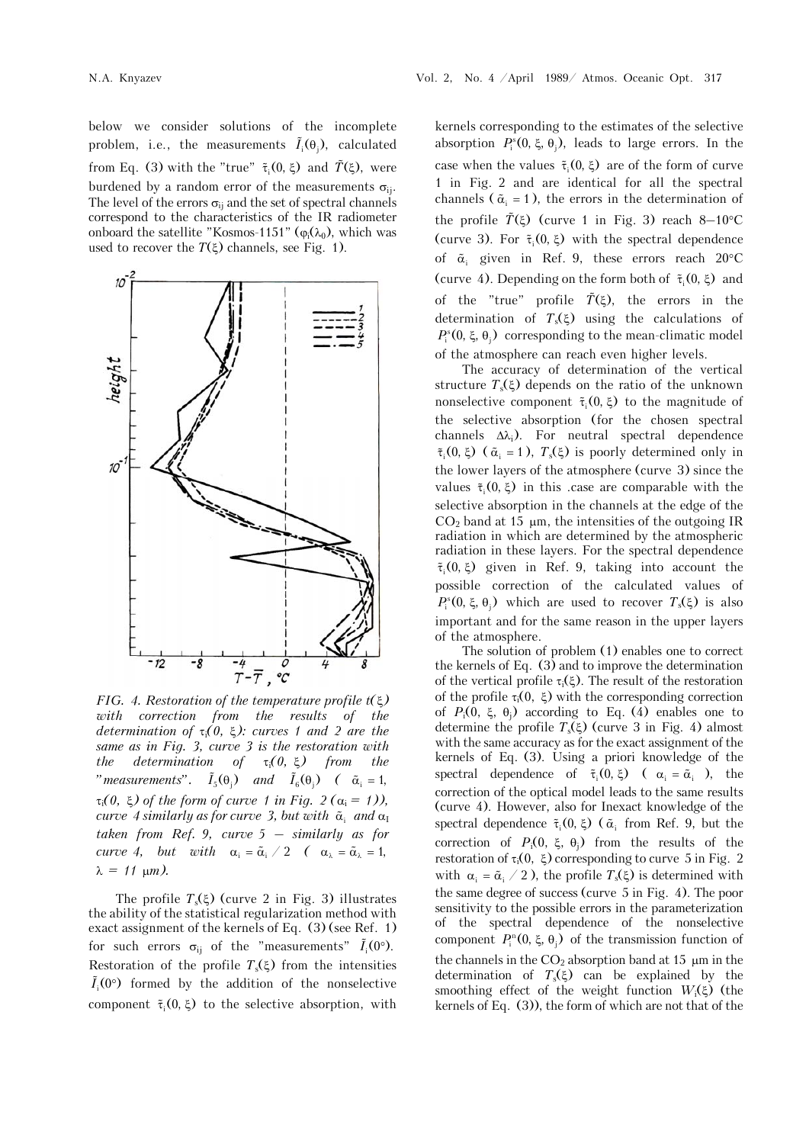below we consider solutions of the incomplete problem, i.e., the measurements  $\tilde{I}_{i}(\theta_{i})$ , calculated from Eq. (3) with the "true"  $\tilde{\tau}_i(0, \xi)$  and  $\tilde{T}(\xi)$ , were burdened by a random error of the measurements  $\sigma_{ii}$ . The level of the errors  $\sigma_{ii}$  and the set of spectral channels correspond to the characteristics of the IR radiometer onboard the satellite "Kosmos-1151" ( $\varphi_i(\lambda_0)$ , which was used to recover the  $T(\xi)$  channels, see Fig. 1).



*FIG. 4. Restoration of the temperature profile t() with correction from the results of the determination of*  $\tau_i(0, \xi)$ *: curves 1 and 2 are the same as in Fig. 3, curve 3 is the restoration with the determination of*  $\tau_i(0, \xi)$  *from the* "measurements".  $\tilde{I}_5(\theta_i)$  and  $\tilde{I}_6(\theta_i)$  ( $\tilde{\alpha}_i = 1$ ,  $\tau_i(0, \xi)$  of the form of curve 1 in Fig. 2 ( $\alpha_i = 1$ )), *curve 4 similarly as for curve 3, but with*  $\tilde{\alpha}$  *and*  $\alpha$ <sup>*I*</sup> *taken from Ref. 9, curve 5 – similarly as for curve 4, but with*  $\alpha_i = \tilde{\alpha}_i / 2$  ( $\alpha_{\lambda} = \tilde{\alpha}_{\lambda} = 1$ ,  $\lambda = 11 \text{ }\mu\text{m}$ ).

The profile  $T_s(\xi)$  (curve 2 in Fig. 3) illustrates the ability of the statistical regularization method with exact assignment of the kernels of Eq. (3) (see Ref. 1) for such errors  $\sigma_{ii}$  of the "measurements"  $\tilde{I}_i(0^\circ)$ . Restoration of the profile  $T_s(\xi)$  from the intensities  $\tilde{I}_i(0^{\circ})$  formed by the addition of the nonselective component  $\tilde{\tau}_i(0, \xi)$  to the selective absorption, with kernels corresponding to the estimates of the selective absorption  $P_i^s(0, \xi, \theta_j)$ , leads to large errors. In the case when the values  $\tilde{\tau}_i(0, \xi)$  are of the form of curve 1 in Fig. 2 and are identical for all the spectral channels ( $\tilde{\alpha}_i$  = 1), the errors in the determination of the profile  $\tilde{T}(\xi)$  (curve 1 in Fig. 3) reach 8–10<sup>o</sup>C (curve 3). For  $\tilde{\tau}_i(0,\xi)$  with the spectral dependence of  $\tilde{\alpha}_i$  given in Ref. 9, these errors reach 20°C (curve 4). Depending on the form both of  $\tilde{\tau}_i(0, \xi)$  and of the "true" profile  $\tilde{T}(\xi)$ , the errors in the determination of  $T_s(\xi)$  using the calculations of  $P_i^s(0, \xi, \theta_i)$  corresponding to the mean-climatic model of the atmosphere can reach even higher levels.

The accuracy of determination of the vertical structure  $T_s(\xi)$  depends on the ratio of the unknown nonselective component  $\tilde{\tau}_i$  (0,  $\xi$ ) to the magnitude of the selective absorption (for the chosen spectral channels  $\Delta\lambda_i$ ). For neutral spectral dependence  $\tilde{\tau}_i$  (0,  $\xi$ ) ( $\tilde{\alpha}_i$  = 1),  $T_s(\xi)$  is poorly determined only in the lower layers of the atmosphere (curve 3) since the values  $\tilde{\tau}_i(0, \xi)$  in this case are comparable with the selective absorption in the channels at the edge of the  $CO<sub>2</sub>$  band at 15  $\mu$ m, the intensities of the outgoing IR radiation in which are determined by the atmospheric radiation in these layers. For the spectral dependence  $\tilde{\tau}_i (0, \xi)$  given in Ref. 9, taking into account the possible correction of the calculated values of  $P_i^s(0, \xi, \theta_i)$  which are used to recover  $T_s(\xi)$  is also important and for the same reason in the upper layers of the atmosphere.

The solution of problem (1) enables one to correct the kernels of Eq. (3) and to improve the determination of the vertical profile  $\tau_i(\xi)$ . The result of the restoration of the profile  $\tau_i(0, \xi)$  with the corresponding correction of  $P_i(0, \xi, \theta_i)$  according to Eq. (4) enables one to determine the profile  $T_s(\xi)$  (curve 3 in Fig. 4) almost with the same accuracy as for the exact assignment of the kernels of Eq. (3). Using a priori knowledge of the spectral dependence of  $\tilde{\tau}_i$  (0,  $\xi$ ) ( $\alpha_i = \tilde{\alpha}_i$ ), the correction of the optical model leads to the same results (curve 4). However, also for Inexact knowledge of the spectral dependence  $\tilde{\tau}_i(0, \xi)$  ( $\tilde{\alpha}_i$  from Ref. 9, but the correction of  $P_i(0, \xi, \theta_i)$  from the results of the restoration of  $\tau_i(0, \xi)$  corresponding to curve 5 in Fig. 2 with  $\alpha_i = \tilde{\alpha}_i / 2$ , the profile  $T_s(\xi)$  is determined with the same degree of success (curve 5 in Fig. 4). The poor sensitivity to the possible errors in the parameterization of the spectral dependence of the nonselective component  $P_i^{\text{n}}(0, \xi, \theta_j)$  of the transmission function of the channels in the  $CO<sub>2</sub>$  absorption band at 15  $\mu$ m in the determination of  $T<sub>s</sub>(\xi)$  can be explained by the smoothing effect of the weight function  $W_i(\xi)$  (the kernels of Eq. (3)), the form of which are not that of the